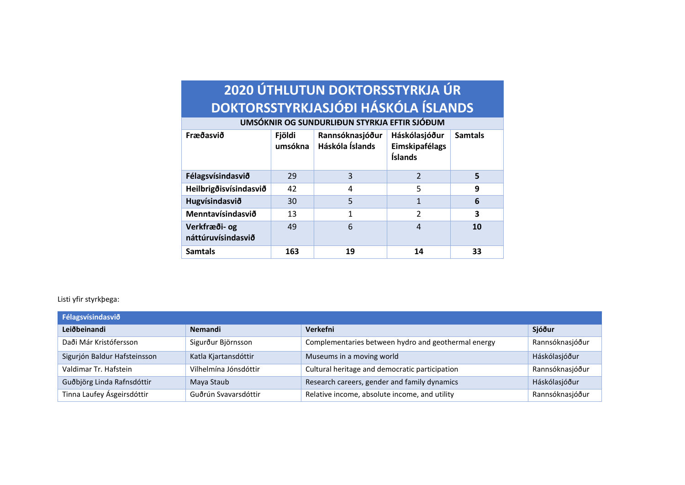## **2020 ÚTHLUTUN DOKTORSSTYRKJA ÚR DOKTORSSTYRKJASJÓÐI HÁSKÓLA ÍSLANDS**

| Fræðasvið                           | Fjöldi<br>umsókna | Rannsóknasjóður<br>Háskóla Íslands | Háskólasjóður<br>Eimskipafélags<br>Íslands | <b>Samtals</b> |
|-------------------------------------|-------------------|------------------------------------|--------------------------------------------|----------------|
| Félagsvísindasvið                   | 29                | 3                                  | $\overline{\mathcal{L}}$                   | 5              |
| Heilbrigðisvísindasvið              | 42                | 4                                  | 5                                          | 9              |
| Hugvísindasvið                      | 30                | 5                                  | 1                                          | 6              |
| Menntavísindasvið                   | 13                | 1                                  | $\mathfrak{p}$                             | 3              |
| Verkfræði- og<br>náttúruvísindasvið | 49                | 6                                  | 4                                          | <b>10</b>      |
| <b>Samtals</b>                      | 163               | 19                                 | 14                                         | 33             |

**UMSÓKNIR OG SUNDURLIÐUN STYRKJA EFTIR SJÓÐUM**

## Listi yfir styrkþega:

| Félagsvísindasvið            |                       |                                                     |                 |
|------------------------------|-----------------------|-----------------------------------------------------|-----------------|
| Leiðbeinandi                 | <b>Nemandi</b>        | Verkefni                                            | Sjóður          |
| Daði Már Kristófersson       | Sigurður Björnsson    | Complementaries between hydro and geothermal energy | Rannsóknasjóður |
| Sigurjón Baldur Hafsteinsson | Katla Kjartansdóttir  | Museums in a moving world                           | Háskólasjóður   |
| Valdimar Tr. Hafstein        | Vilhelmína Jónsdóttir | Cultural heritage and democratic participation      | Rannsóknasjóður |
| Guðbjörg Linda Rafnsdóttir   | Maya Staub            | Research careers, gender and family dynamics        | Háskólasjóður   |
| Tinna Laufey Ásgeirsdóttir   | Guðrún Svavarsdóttir  | Relative income, absolute income, and utility       | Rannsóknasjóður |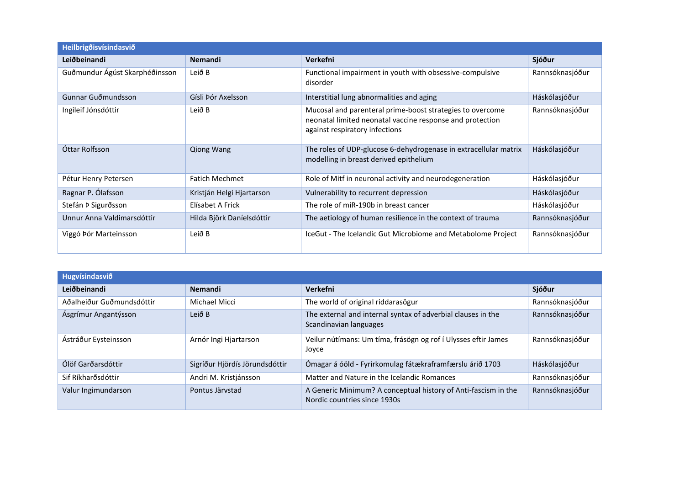| <b>Heilbrigoisvísindasvio</b>  |                           |                                                                                                                                                          |                 |  |
|--------------------------------|---------------------------|----------------------------------------------------------------------------------------------------------------------------------------------------------|-----------------|--|
| Leiðbeinandi                   | <b>Nemandi</b>            | Verkefni                                                                                                                                                 | Sjóður          |  |
| Guðmundur Ágúst Skarphéðinsson | Leið B                    | Functional impairment in youth with obsessive-compulsive<br>disorder                                                                                     | Rannsóknasjóður |  |
| Gunnar Guðmundsson             | Gísli Þór Axelsson        | Interstitial lung abnormalities and aging                                                                                                                | Háskólasjóður   |  |
| Ingileif Jónsdóttir            | Leið B                    | Mucosal and parenteral prime-boost strategies to overcome<br>neonatal limited neonatal vaccine response and protection<br>against respiratory infections | Rannsóknasjóður |  |
| Óttar Rolfsson                 | <b>Qiong Wang</b>         | The roles of UDP-glucose 6-dehydrogenase in extracellular matrix<br>modelling in breast derived epithelium                                               | Háskólasjóður   |  |
| Pétur Henry Petersen           | <b>Fatich Mechmet</b>     | Role of Mitf in neuronal activity and neurodegeneration                                                                                                  | Háskólasjóður   |  |
| Ragnar P. Ólafsson             | Kristján Helgi Hjartarson | Vulnerability to recurrent depression                                                                                                                    | Háskólasjóður   |  |
| Stefán Þ Sigurðsson            | Elísabet A Frick          | The role of miR-190b in breast cancer                                                                                                                    | Háskólasjóður   |  |
| Unnur Anna Valdimarsdóttir     | Hilda Björk Daníelsdóttir | The aetiology of human resilience in the context of trauma                                                                                               | Rannsóknasjóður |  |
| Viggó Þór Marteinsson          | Leið B                    | IceGut - The Icelandic Gut Microbiome and Metabolome Project                                                                                             | Rannsóknasjóður |  |

| Hugvísindasvið            |                                |                                                                                                |                 |
|---------------------------|--------------------------------|------------------------------------------------------------------------------------------------|-----------------|
| Leiðbeinandi              | <b>Nemandi</b>                 | Verkefni                                                                                       | Sjóður          |
| Aðalheiður Guðmundsdóttir | Michael Micci                  | The world of original riddarasögur                                                             | Rannsóknasjóður |
| Ásgrímur Angantýsson      | Leið B                         | The external and internal syntax of adverbial clauses in the<br>Scandinavian languages         | Rannsóknasjóður |
| Ástráður Eysteinsson      | Arnór Ingi Hjartarson          | Veilur nútímans: Um tíma, frásögn og rof í Ulysses eftir James<br>Joyce                        | Rannsóknasjóður |
| Ólöf Garðarsdóttir        | Sigríður Hjördís Jörundsdóttir | Ómagar á óöld - Fyrirkomulag fátækraframfærslu árið 1703                                       | Háskólasjóður   |
| Sif Ríkharðsdóttir        | Andri M. Kristjánsson          | Matter and Nature in the Icelandic Romances                                                    | Rannsóknasjóður |
| Valur Ingimundarson       | Pontus Järvstad                | A Generic Minimum? A conceptual history of Anti-fascism in the<br>Nordic countries since 1930s | Rannsóknasjóður |